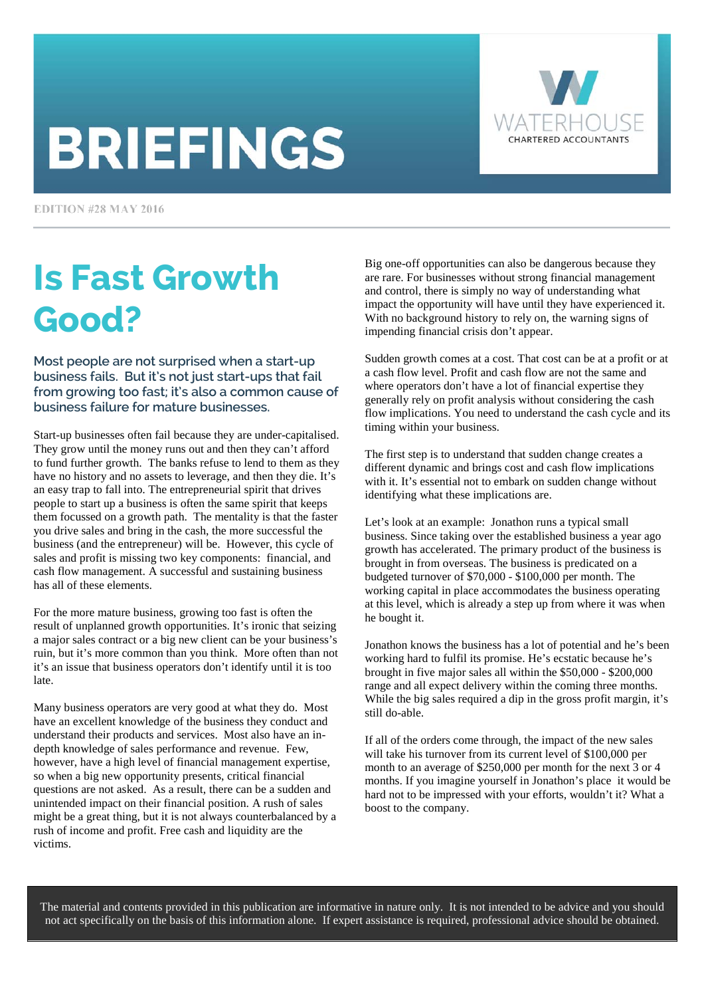# **BRIEFINGS**



**EDITION #28 MAY 2016** 

## Is Fast Growth Good?

Most people are not surprised when a start-up business fails. But it's not just start-ups that fail from growing too fast; it's also a common cause of business failure for mature businesses.

Start-up businesses often fail because they are under-capitalised. They grow until the money runs out and then they can't afford to fund further growth. The banks refuse to lend to them as they have no history and no assets to leverage, and then they die. It's an easy trap to fall into. The entrepreneurial spirit that drives people to start up a business is often the same spirit that keeps them focussed on a growth path. The mentality is that the faster you drive sales and bring in the cash, the more successful the business (and the entrepreneur) will be. However, this cycle of sales and profit is missing two key components: financial, and cash flow management. A successful and sustaining business has all of these elements.

For the more mature business, growing too fast is often the result of unplanned growth opportunities. It's ironic that seizing a major sales contract or a big new client can be your business's ruin, but it's more common than you think. More often than not it's an issue that business operators don't identify until it is too late.

Many business operators are very good at what they do. Most have an excellent knowledge of the business they conduct and understand their products and services. Most also have an indepth knowledge of sales performance and revenue. Few, however, have a high level of financial management expertise, so when a big new opportunity presents, critical financial questions are not asked. As a result, there can be a sudden and unintended impact on their financial position. A rush of sales might be a great thing, but it is not always counterbalanced by a rush of income and profit. Free cash and liquidity are the victims.

Big one-off opportunities can also be dangerous because they are rare. For businesses without strong financial management and control, there is simply no way of understanding what impact the opportunity will have until they have experienced it. With no background history to rely on, the warning signs of impending financial crisis don't appear.

Sudden growth comes at a cost. That cost can be at a profit or at a cash flow level. Profit and cash flow are not the same and where operators don't have a lot of financial expertise they generally rely on profit analysis without considering the cash flow implications. You need to understand the cash cycle and its timing within your business.

The first step is to understand that sudden change creates a different dynamic and brings cost and cash flow implications with it. It's essential not to embark on sudden change without identifying what these implications are.

Let's look at an example: Jonathon runs a typical small business. Since taking over the established business a year ago growth has accelerated. The primary product of the business is brought in from overseas. The business is predicated on a budgeted turnover of \$70,000 - \$100,000 per month. The working capital in place accommodates the business operating at this level, which is already a step up from where it was when he bought it.

Jonathon knows the business has a lot of potential and he's been working hard to fulfil its promise. He's ecstatic because he's brought in five major sales all within the \$50,000 - \$200,000 range and all expect delivery within the coming three months. While the big sales required a dip in the gross profit margin, it's still do-able.

If all of the orders come through, the impact of the new sales will take his turnover from its current level of \$100,000 per month to an average of \$250,000 per month for the next 3 or 4 months. If you imagine yourself in Jonathon's place it would be hard not to be impressed with your efforts, wouldn't it? What a boost to the company.

The material and contents provided in this publication are informative in nature only. It is not intended to be advice and you should not act specifically on the basis of this information alone. If expert assistance is required, professional advice should be obtained.